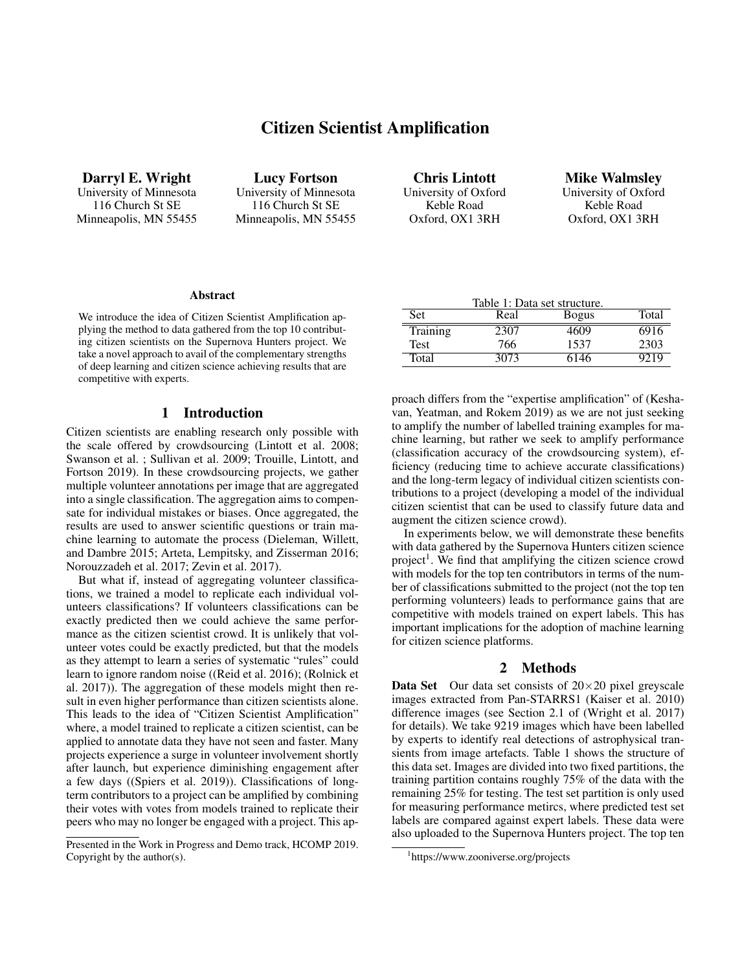# Citizen Scientist Amplification

Darryl E. Wright University of Minnesota 116 Church St SE Minneapolis, MN 55455

Lucy Fortson University of Minnesota 116 Church St SE Minneapolis, MN 55455

Chris Lintott University of Oxford Keble Road Oxford, OX1 3RH

Mike Walmsley University of Oxford Keble Road Oxford, OX1 3RH

#### **Abstract**

We introduce the idea of Citizen Scientist Amplification applying the method to data gathered from the top 10 contributing citizen scientists on the Supernova Hunters project. We take a novel approach to avail of the complementary strengths of deep learning and citizen science achieving results that are competitive with experts.

### 1 Introduction

Citizen scientists are enabling research only possible with the scale offered by crowdsourcing (Lintott et al. 2008; Swanson et al. ; Sullivan et al. 2009; Trouille, Lintott, and Fortson 2019). In these crowdsourcing projects, we gather multiple volunteer annotations per image that are aggregated into a single classification. The aggregation aims to compensate for individual mistakes or biases. Once aggregated, the results are used to answer scientific questions or train machine learning to automate the process (Dieleman, Willett, and Dambre 2015; Arteta, Lempitsky, and Zisserman 2016; Norouzzadeh et al. 2017; Zevin et al. 2017).

But what if, instead of aggregating volunteer classifications, we trained a model to replicate each individual volunteers classifications? If volunteers classifications can be exactly predicted then we could achieve the same performance as the citizen scientist crowd. It is unlikely that volunteer votes could be exactly predicted, but that the models as they attempt to learn a series of systematic "rules" could learn to ignore random noise ((Reid et al. 2016); (Rolnick et al. 2017)). The aggregation of these models might then result in even higher performance than citizen scientists alone. This leads to the idea of "Citizen Scientist Amplification" where, a model trained to replicate a citizen scientist, can be applied to annotate data they have not seen and faster. Many projects experience a surge in volunteer involvement shortly after launch, but experience diminishing engagement after a few days ((Spiers et al. 2019)). Classifications of longterm contributors to a project can be amplified by combining their votes with votes from models trained to replicate their peers who may no longer be engaged with a project. This ap-

| Table 1: Data set structure. |      |              |       |  |
|------------------------------|------|--------------|-------|--|
| Set                          | Real | <b>Bogus</b> | Total |  |
| Training                     | 2307 | 4609         | 6916  |  |
| <b>Test</b>                  | 766  | 1537         | 2303  |  |
| Total                        | 3073 | 6146         | 9219  |  |

proach differs from the "expertise amplification" of (Keshavan, Yeatman, and Rokem 2019) as we are not just seeking to amplify the number of labelled training examples for machine learning, but rather we seek to amplify performance (classification accuracy of the crowdsourcing system), efficiency (reducing time to achieve accurate classifications) and the long-term legacy of individual citizen scientists contributions to a project (developing a model of the individual citizen scientist that can be used to classify future data and augment the citizen science crowd).

In experiments below, we will demonstrate these benefits with data gathered by the Supernova Hunters citizen science project<sup>1</sup>. We find that amplifying the citizen science crowd with models for the top ten contributors in terms of the number of classifications submitted to the project (not the top ten performing volunteers) leads to performance gains that are competitive with models trained on expert labels. This has important implications for the adoption of machine learning for citizen science platforms.

#### 2 Methods

**Data Set** Our data set consists of  $20 \times 20$  pixel greyscale images extracted from Pan-STARRS1 (Kaiser et al. 2010) difference images (see Section 2.1 of (Wright et al. 2017) for details). We take 9219 images which have been labelled by experts to identify real detections of astrophysical transients from image artefacts. Table 1 shows the structure of this data set. Images are divided into two fixed partitions, the training partition contains roughly 75% of the data with the remaining 25% for testing. The test set partition is only used for measuring performance metircs, where predicted test set labels are compared against expert labels. These data were also uploaded to the Supernova Hunters project. The top ten

Presented in the Work in Progress and Demo track, HCOMP 2019. Copyright by the author(s).

<sup>1</sup> https://www.zooniverse.org/projects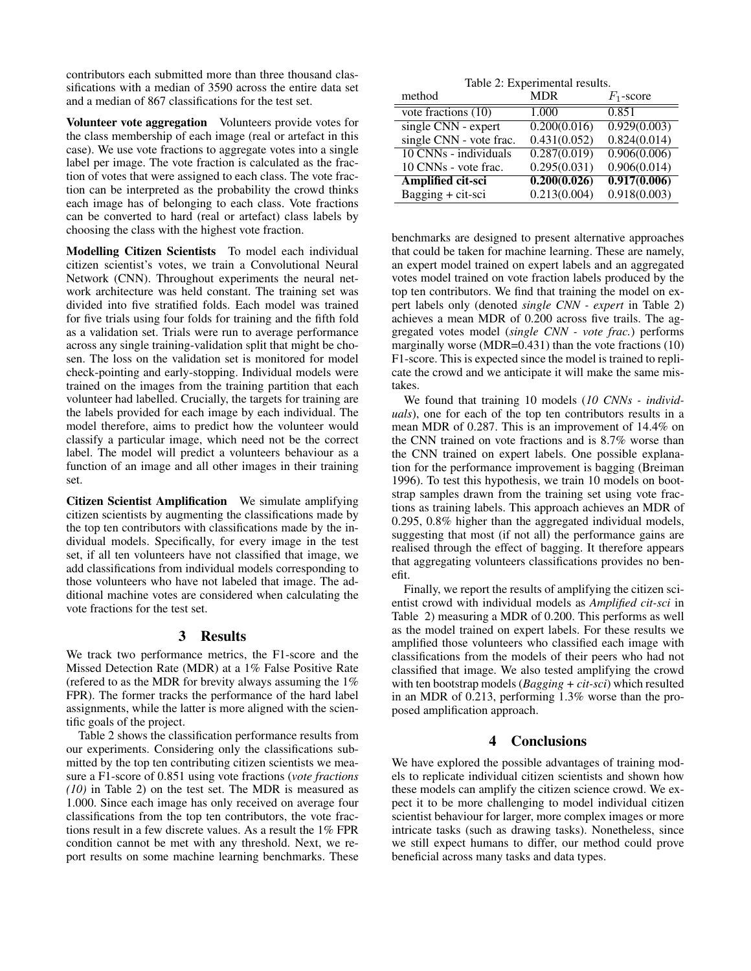contributors each submitted more than three thousand classifications with a median of 3590 across the entire data set and a median of 867 classifications for the test set.

Volunteer vote aggregation Volunteers provide votes for the class membership of each image (real or artefact in this case). We use vote fractions to aggregate votes into a single label per image. The vote fraction is calculated as the fraction of votes that were assigned to each class. The vote fraction can be interpreted as the probability the crowd thinks each image has of belonging to each class. Vote fractions can be converted to hard (real or artefact) class labels by choosing the class with the highest vote fraction.

Modelling Citizen Scientists To model each individual citizen scientist's votes, we train a Convolutional Neural Network (CNN). Throughout experiments the neural network architecture was held constant. The training set was divided into five stratified folds. Each model was trained for five trials using four folds for training and the fifth fold as a validation set. Trials were run to average performance across any single training-validation split that might be chosen. The loss on the validation set is monitored for model check-pointing and early-stopping. Individual models were trained on the images from the training partition that each volunteer had labelled. Crucially, the targets for training are the labels provided for each image by each individual. The model therefore, aims to predict how the volunteer would classify a particular image, which need not be the correct label. The model will predict a volunteers behaviour as a function of an image and all other images in their training set.

Citizen Scientist Amplification We simulate amplifying citizen scientists by augmenting the classifications made by the top ten contributors with classifications made by the individual models. Specifically, for every image in the test set, if all ten volunteers have not classified that image, we add classifications from individual models corresponding to those volunteers who have not labeled that image. The additional machine votes are considered when calculating the vote fractions for the test set.

### 3 Results

We track two performance metrics, the F1-score and the Missed Detection Rate (MDR) at a 1% False Positive Rate (refered to as the MDR for brevity always assuming the  $1\%$ FPR). The former tracks the performance of the hard label assignments, while the latter is more aligned with the scientific goals of the project.

Table 2 shows the classification performance results from our experiments. Considering only the classifications submitted by the top ten contributing citizen scientists we measure a F1-score of 0.851 using vote fractions (*vote fractions (10)* in Table 2) on the test set. The MDR is measured as 1.000. Since each image has only received on average four classifications from the top ten contributors, the vote fractions result in a few discrete values. As a result the 1% FPR condition cannot be met with any threshold. Next, we report results on some machine learning benchmarks. These

|  | Table 2: Experimental results. |  |
|--|--------------------------------|--|
|--|--------------------------------|--|

| method                  | <b>MDR</b>   | $F_1$ -score |
|-------------------------|--------------|--------------|
| vote fractions $(10)$   | 1.000        | 0.851        |
| single CNN - expert     | 0.200(0.016) | 0.929(0.003) |
| single CNN - vote frac. | 0.431(0.052) | 0.824(0.014) |
| 10 CNNs - individuals   | 0.287(0.019) | 0.906(0.006) |
| 10 CNNs - vote frac.    | 0.295(0.031) | 0.906(0.014) |
| Amplified cit-sci       | 0.200(0.026) | 0.917(0.006) |
| Bagging + cit-sci       | 0.213(0.004) | 0.918(0.003) |

benchmarks are designed to present alternative approaches that could be taken for machine learning. These are namely, an expert model trained on expert labels and an aggregated votes model trained on vote fraction labels produced by the top ten contributors. We find that training the model on expert labels only (denoted *single CNN - expert* in Table 2) achieves a mean MDR of 0.200 across five trails. The aggregated votes model (*single CNN - vote frac.*) performs marginally worse (MDR=0.431) than the vote fractions (10) F1-score. This is expected since the model is trained to replicate the crowd and we anticipate it will make the same mistakes.

We found that training 10 models (*10 CNNs - individuals*), one for each of the top ten contributors results in a mean MDR of 0.287. This is an improvement of 14.4% on the CNN trained on vote fractions and is 8.7% worse than the CNN trained on expert labels. One possible explanation for the performance improvement is bagging (Breiman 1996). To test this hypothesis, we train 10 models on bootstrap samples drawn from the training set using vote fractions as training labels. This approach achieves an MDR of 0.295, 0.8% higher than the aggregated individual models, suggesting that most (if not all) the performance gains are realised through the effect of bagging. It therefore appears that aggregating volunteers classifications provides no benefit.

Finally, we report the results of amplifying the citizen scientist crowd with individual models as *Amplified cit-sci* in Table 2) measuring a MDR of 0.200. This performs as well as the model trained on expert labels. For these results we amplified those volunteers who classified each image with classifications from the models of their peers who had not classified that image. We also tested amplifying the crowd with ten bootstrap models (*Bagging + cit-sci*) which resulted in an MDR of 0.213, performing 1.3% worse than the proposed amplification approach.

# 4 Conclusions

We have explored the possible advantages of training models to replicate individual citizen scientists and shown how these models can amplify the citizen science crowd. We expect it to be more challenging to model individual citizen scientist behaviour for larger, more complex images or more intricate tasks (such as drawing tasks). Nonetheless, since we still expect humans to differ, our method could prove beneficial across many tasks and data types.